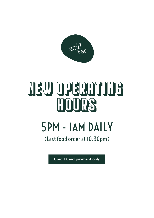

# NEW OPERATING HOURS

#### 5PM - 1AM DAILY

(Last food order at 10.30pm)

Credit Card payment only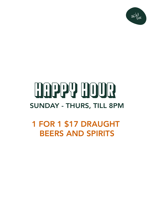

#### HAPPY HOUR SUNDAY - THURS, TILL 8PM

1 FOR 1 \$17 DRAUGHT BEERS AND SPIRITS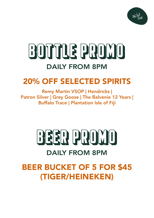

#### BOTTLE PROMO DAILY FROM 8PM

#### 20% OFF SELECTED SPIRITS

Remy Martin VSOP | Hendricks | Patron Silver | Grey Goose | The Balvenie 12 Years | Buffalo Trace | Plantation Isle of Fiji

#### BEER PROMO DAILY FROM 8PM

#### BEER BUCKET OF 5 FOR \$45 (TIGER/HEINEKEN)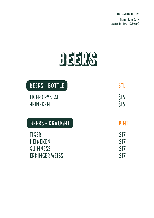## BEERS

| BEERS - BOTTLE                          | BTI                           |
|-----------------------------------------|-------------------------------|
| <b>TIGER CRYSTAL</b><br><b>HEINEKEN</b> | \$15<br>$\overline{\text{S}}$ |
| BEERS - DRAUGHT                         | <b>PINT</b>                   |
|                                         |                               |
| <b>TIGER</b>                            | S <sub>17</sub>               |
| <b>HEINEKEN</b>                         | \$17                          |
| <b>GUINNESS</b>                         | \$17                          |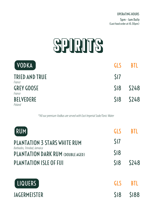### SPIRITS

| <b>LVODKA</b>                   | GI S            | <b>RTI</b>   |
|---------------------------------|-----------------|--------------|
| <b>TRIED AND TRUE</b><br>France | S <sub>17</sub> |              |
| <b>GREY GOOSE</b><br>France     |                 | $$18$ $$248$ |
| <b>BELVEDERE</b><br>Poland      |                 | $$18$ $$248$ |

\*All our premium Vodkas are served with East Imperial Sode/Tonic Water

| <b>RUM</b>                                                       | <b>GLS</b>     |             |
|------------------------------------------------------------------|----------------|-------------|
| <b>PLANTATION 3 STARS WHITE RUM</b>                              | $\mathsf{S}17$ |             |
| Barbados, Trinidad, Jamaica<br>PLANTATION DARK RUM (DOUBLE AGED) | \$18           |             |
| <b>PLANTATION ISLE OF FIJI</b>                                   | S18            | <b>S248</b> |
| LIQUERS                                                          | GLS            | <b>BTI</b>  |
| <b>JAGERMEISTER</b>                                              | S18            | <b>SI88</b> |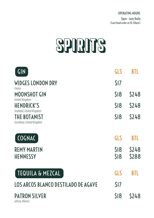## SPIRITS

| <b>GIN</b>                                                                   | <b>GLS</b>      | BTL                  |
|------------------------------------------------------------------------------|-----------------|----------------------|
| <b>WIDGES LONDON DRY</b><br>France                                           | S <sub>17</sub> |                      |
| <b>MOONSHOT GIN</b>                                                          | \$18            | <b>S248</b>          |
| United Kingdom<br><b>HENDRICK'S</b>                                          | \$18            | \$248                |
| Scotland, United Kingdom<br><b>THE BOTANIST</b><br>Scortland, United Kingdom | \$18            | <b>S248</b>          |
| COGNAC                                                                       | <b>GLS</b>      | BTL                  |
| <b>REMY MARTIN</b><br><b>HENNESSY</b>                                        | \$18<br>\$18    | <b>S248</b><br>\$288 |
| <b>TEQUILA &amp; MEZCAL</b>                                                  | <b>GLS</b>      |                      |
| LOS ARCOS BLANCO DESTILADO DE AGAVE                                          | \$17            |                      |
| <b>PATRON SILVER</b><br>Jalisco, Mexico                                      | \$18            | \$248                |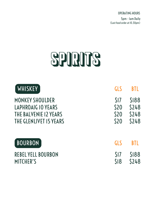#### SPIRITS

| <b>WHISKEY</b>            | GLS             | BTL         |
|---------------------------|-----------------|-------------|
| <b>MONKEY SHOULDER</b>    | S <sub>17</sub> | \$188       |
| LAPHROAIG 10 YEARS        | \$20            | \$248       |
| THE BALVENIE 12 YEARS     | \$20            | \$248       |
| THE GLENLIVET IS YEARS    | \$20            | \$248       |
| <b>BOURBON</b>            | GLS             | <b>BTI</b>  |
| <b>REBEL YELL BOURBON</b> | S <sub>17</sub> | <b>SI88</b> |
| <b>MITCHER'S</b>          | \$18            | <b>S248</b> |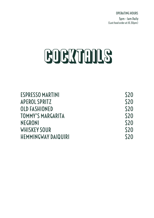# **COCKTAILS**

| <b>ESPRESSO MARTINI</b>    | <b>\$20</b> |
|----------------------------|-------------|
| <b>APEROL SPRITZ</b>       | \$20        |
| <b>OLD FASHIONED</b>       | \$20        |
| <b>TOMMY'S MARGARITA</b>   | \$20        |
| <b>NEGRONI</b>             | \$20        |
| <b>WHISKEY SOUR</b>        | \$20        |
| <b>HEMMINGWAY DAIQUIRI</b> | \$20        |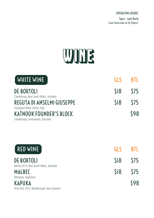

| <b>WHITE WINE</b>                                                                                    | <b>GLS</b> | BTI         |
|------------------------------------------------------------------------------------------------------|------------|-------------|
| <b>DE BORTOLI</b>                                                                                    | \$18       | \$75        |
| Chardonnay, New South Wales, Australia<br><b>REGUTA DI ANSELMI GIUSEPPE</b>                          | \$18       | \$75        |
| Sauvignon Blanc Venice, Italy<br><b>KATNOOK FOUNDER'S BLOCK</b><br>Chardonnay, Coonawarra, Australia |            | <b>\$98</b> |
| <b>RED WINE</b>                                                                                      | <b>GLS</b> | BTI         |
| <b>DE BORTOLI</b>                                                                                    | \$18       | \$75        |
| Merlot 2019, New South Wales, Australia<br><b>MALBEC</b><br>Mendoza, Argentina                       | \$18       | \$75        |
| <b>KAPUKA</b><br>Pinot Noir 2015, Marlborough, New Zealand                                           |            | <b>\$98</b> |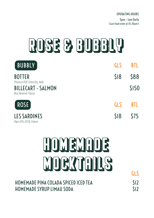# ROSE & BUBBLY

| BUBBLY                                            | <b>GLS</b> | <b>BTI</b> |
|---------------------------------------------------|------------|------------|
| <b>BOTTER</b><br>Prosecco DOC Extra Dry, Italy    | \$18       | <b>S88</b> |
| <b>BILLECART - SALMON</b><br>Brut Reserve, France |            | \$150      |
| <b>ROSE</b>                                       | <b>GLS</b> | <b>BTL</b> |
| <b>LES SARDINES</b><br>Pays d'Oc 2018, France     | \$18       | <b>S75</b> |

# HOMEMADE MOCKTAILS GLS

| HOMEMADE PINA COLADA SPICED ICED TEA |  |
|--------------------------------------|--|
| <b>HOMEMADE SYRUP LIMAU SODA</b>     |  |